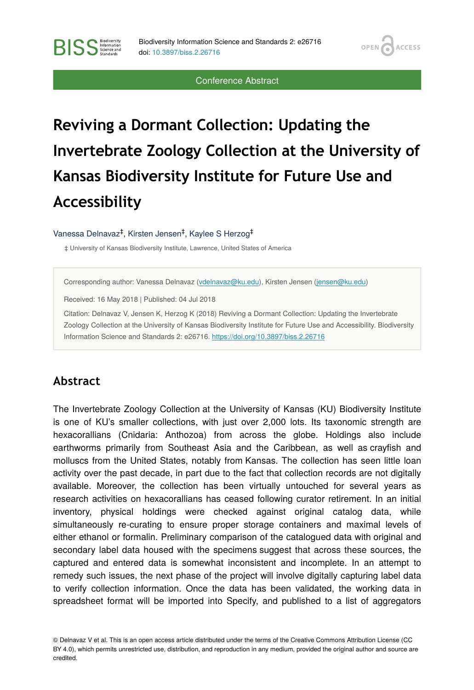**OPEN** 

**ACCESS** 

Conference Abstract

# **Reviving a Dormant Collection: Updating the Invertebrate Zoology Collection at the University of Kansas Biodiversity Institute for Future Use and Accessibility**

#### Vanessa Delnavaz<sup>‡</sup>, Kirsten Jensen<sup>‡</sup>, Kaylee S Herzog<sup>‡</sup>

‡ University of Kansas Biodiversity Institute, Lawrence, United States of America

Corresponding author: Vanessa Delnavaz [\(vdelnavaz@ku.edu](mailto:vdelnavaz@ku.edu)), Kirsten Jensen [\(jensen@ku.edu\)](mailto:jensen@ku.edu)

Received: 16 May 2018 | Published: 04 Jul 2018

Citation: Delnavaz V, Jensen K, Herzog K (2018) Reviving a Dormant Collection: Updating the Invertebrate Zoology Collection at the University of Kansas Biodiversity Institute for Future Use and Accessibility. Biodiversity Information Science and Standards 2: e26716.<https://doi.org/10.3897/biss.2.26716>

### **Abstract**

**BISS** Steince and

The Invertebrate Zoology Collection at the University of Kansas (KU) Biodiversity Institute is one of KU's smaller collections, with just over 2,000 lots. Its taxonomic strength are hexacorallians (Cnidaria: Anthozoa) from across the globe. Holdings also include earthworms primarily from Southeast Asia and the Caribbean, as well as crayfish and molluscs from the United States, notably from Kansas. The collection has seen little loan activity over the past decade, in part due to the fact that collection records are not digitally available. Moreover, the collection has been virtually untouched for several years as research activities on hexacorallians has ceased following curator retirement. In an initial inventory, physical holdings were checked against original catalog data, while simultaneously re-curating to ensure proper storage containers and maximal levels of either ethanol or formalin. Preliminary comparison of the catalogued data with original and secondary label data housed with the specimens suggest that across these sources, the captured and entered data is somewhat inconsistent and incomplete. In an attempt to remedy such issues, the next phase of the project will involve digitally capturing label data to verify collection information. Once the data has been validated, the working data in spreadsheet format will be imported into Specify, and published to a list of aggregators

© Delnavaz V et al. This is an open access article distributed under the terms of the Creative Commons Attribution License (CC BY 4.0), which permits unrestricted use, distribution, and reproduction in any medium, provided the original author and source are credited.